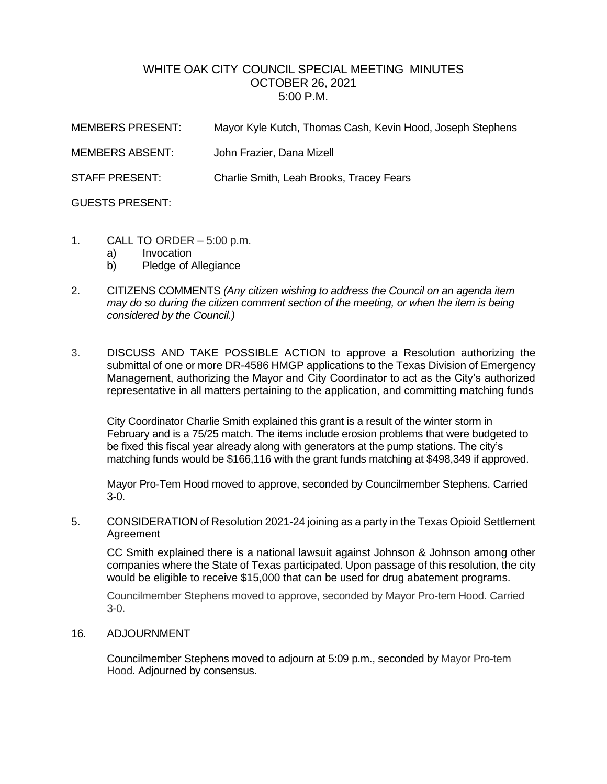## WHITE OAK CITY COUNCIL SPECIAL MEETING MINUTES OCTOBER 26, 2021 5:00 P.M.

| <b>MEMBERS PRESENT:</b> | Mayor Kyle Kutch, Thomas Cash, Kevin Hood, Joseph Stephens |
|-------------------------|------------------------------------------------------------|
| <b>MEMBERS ABSENT:</b>  | John Frazier, Dana Mizell                                  |
| <b>STAFF PRESENT:</b>   | Charlie Smith, Leah Brooks, Tracey Fears                   |
| <b>GUESTS PRESENT:</b>  |                                                            |

- 1. CALL TO ORDER 5:00 p.m.
	- a) Invocation
	- b) Pledge of Allegiance
- 2. CITIZENS COMMENTS *(Any citizen wishing to address the Council on an agenda item may do so during the citizen comment section of the meeting, or when the item is being considered by the Council.)*
- 3. DISCUSS AND TAKE POSSIBLE ACTION to approve a Resolution authorizing the submittal of one or more DR-4586 HMGP applications to the Texas Division of Emergency Management, authorizing the Mayor and City Coordinator to act as the City's authorized representative in all matters pertaining to the application, and committing matching funds

City Coordinator Charlie Smith explained this grant is a result of the winter storm in February and is a 75/25 match. The items include erosion problems that were budgeted to be fixed this fiscal year already along with generators at the pump stations. The city's matching funds would be \$166,116 with the grant funds matching at \$498,349 if approved.

Mayor Pro-Tem Hood moved to approve, seconded by Councilmember Stephens. Carried 3-0.

5. CONSIDERATION of Resolution 2021-24 joining as a party in the Texas Opioid Settlement Agreement

CC Smith explained there is a national lawsuit against Johnson & Johnson among other companies where the State of Texas participated. Upon passage of this resolution, the city would be eligible to receive \$15,000 that can be used for drug abatement programs.

Councilmember Stephens moved to approve, seconded by Mayor Pro-tem Hood. Carried 3-0.

## 16. ADJOURNMENT

Councilmember Stephens moved to adjourn at 5:09 p.m., seconded by Mayor Pro-tem Hood. Adjourned by consensus.